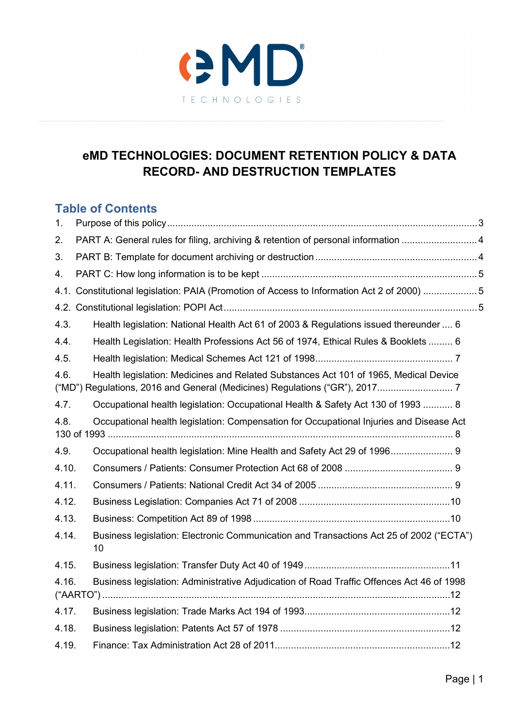

# **eMD TECHNOLOGIES: DOCUMENT RETENTION POLICY & DATA RECORD- AND DESTRUCTION TEMPLATES**

# **Table of Contents**

| 1.    |                                                                                               |  |
|-------|-----------------------------------------------------------------------------------------------|--|
| 2.    | PART A: General rules for filing, archiving & retention of personal information 4             |  |
| 3.    |                                                                                               |  |
| 4.    |                                                                                               |  |
|       | 4.1. Constitutional legislation: PAIA (Promotion of Access to Information Act 2 of 2000) 5    |  |
|       |                                                                                               |  |
| 4.3.  | Health legislation: National Health Act 61 of 2003 & Regulations issued thereunder  6         |  |
| 4.4.  | Health Legislation: Health Professions Act 56 of 1974, Ethical Rules & Booklets  6            |  |
| 4.5.  |                                                                                               |  |
| 4.6.  | Health legislation: Medicines and Related Substances Act 101 of 1965, Medical Device          |  |
| 4.7.  | Occupational health legislation: Occupational Health & Safety Act 130 of 1993  8              |  |
| 4.8.  | Occupational health legislation: Compensation for Occupational Injuries and Disease Act       |  |
| 4.9.  | Occupational health legislation: Mine Health and Safety Act 29 of 1996 9                      |  |
| 4.10. |                                                                                               |  |
| 4.11. |                                                                                               |  |
| 4.12. |                                                                                               |  |
| 4.13. |                                                                                               |  |
| 4.14. | Business legislation: Electronic Communication and Transactions Act 25 of 2002 ("ECTA")<br>10 |  |
| 4.15. |                                                                                               |  |
| 4.16. | Business legislation: Administrative Adjudication of Road Traffic Offences Act 46 of 1998     |  |
| 4.17. |                                                                                               |  |
| 4.18. |                                                                                               |  |
| 4.19. |                                                                                               |  |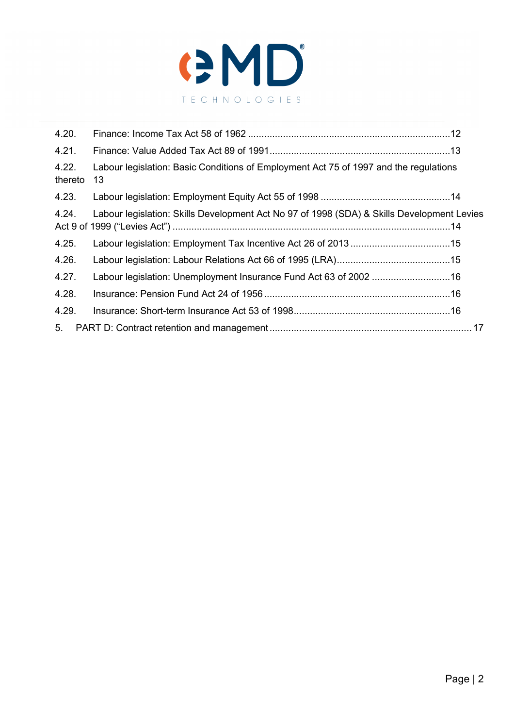

| 4.20.            |                                                                                             |  |  |  |  |  |
|------------------|---------------------------------------------------------------------------------------------|--|--|--|--|--|
| 4.21.            |                                                                                             |  |  |  |  |  |
| 4.22.<br>thereto | Labour legislation: Basic Conditions of Employment Act 75 of 1997 and the regulations<br>13 |  |  |  |  |  |
| 4.23.            |                                                                                             |  |  |  |  |  |
| 4.24.            | Labour legislation: Skills Development Act No 97 of 1998 (SDA) & Skills Development Levies  |  |  |  |  |  |
| 4.25.            |                                                                                             |  |  |  |  |  |
| 4.26.            |                                                                                             |  |  |  |  |  |
| 4.27.            |                                                                                             |  |  |  |  |  |
| 4.28.            |                                                                                             |  |  |  |  |  |
| 4.29.            |                                                                                             |  |  |  |  |  |
| 5 <sub>1</sub>   |                                                                                             |  |  |  |  |  |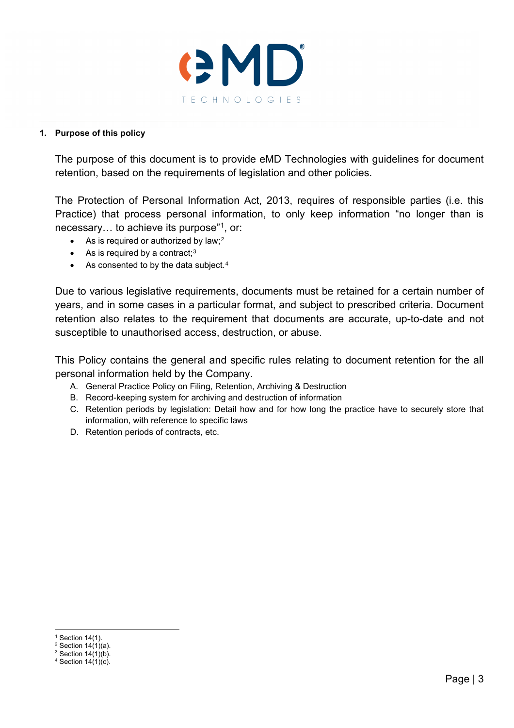

#### <span id="page-2-0"></span>**1. Purpose of this policy**

The purpose of this document is to provide eMD Technologies with guidelines for document retention, based on the requirements of legislation and other policies.

The Protection of Personal Information Act, 2013, requires of responsible parties (i.e. this Practice) that process personal information, to only keep information "no longer than is necessary… to achieve its purpose"[1,](#page-2-1) or:

- As is required or authorized by law;<sup>[2](#page-2-2)</sup>
- As is required by a contract; $3$
- As consented to by the data subject.<sup>[4](#page-2-4)</sup>

Due to various legislative requirements, documents must be retained for a certain number of years, and in some cases in a particular format, and subject to prescribed criteria. Document retention also relates to the requirement that documents are accurate, up-to-date and not susceptible to unauthorised access, destruction, or abuse.

This Policy contains the general and specific rules relating to document retention for the all personal information held by the Company.

- A. General Practice Policy on Filing, Retention, Archiving & Destruction
- B. Record-keeping system for archiving and destruction of information
- C. Retention periods by legislation: Detail how and for how long the practice have to securely store that information, with reference to specific laws
- D. Retention periods of contracts, etc.

<span id="page-2-1"></span> $1$  Section 14(1).

<span id="page-2-2"></span> $2$  Section 14 $(1)(a)$ . <sup>3</sup> Section  $14(1)(b)$ .

<span id="page-2-4"></span><span id="page-2-3"></span> $4$  Section 14(1)(c).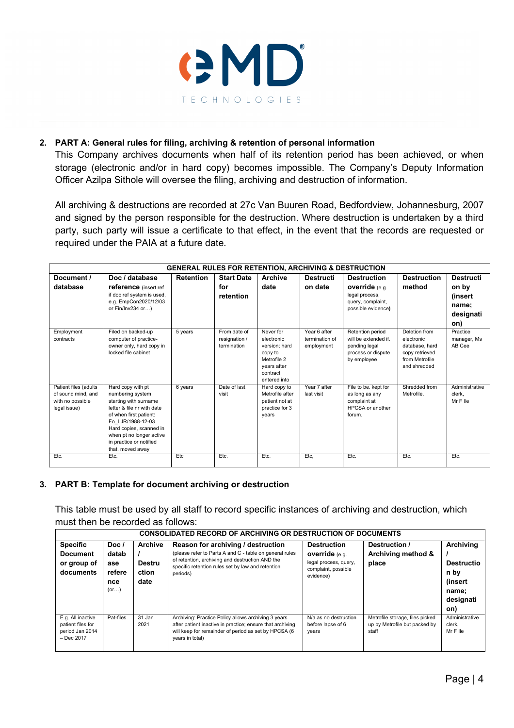

#### **2. PART A: General rules for filing, archiving & retention of personal information**

<span id="page-3-0"></span>This Company archives documents when half of its retention period has been achieved, or when storage (electronic and/or in hard copy) becomes impossible. The Company's Deputy Information Officer Azilpa Sithole will oversee the filing, archiving and destruction of information.

All archiving & destructions are recorded at 27c Van Buuren Road, Bedfordview, Johannesburg, 2007 and signed by the person responsible for the destruction. Where destruction is undertaken by a third party, such party will issue a certificate to that effect, in the event that the records are requested or required under the PAIA at a future date.

|                                                                                 | <b>GENERAL RULES FOR RETENTION, ARCHIVING &amp; DESTRUCTION</b>                                                                                                                                                                                   |                  |                                              |                                                                                                               |                                              |                                                                                                          |                                                                                                   |                                                                   |  |
|---------------------------------------------------------------------------------|---------------------------------------------------------------------------------------------------------------------------------------------------------------------------------------------------------------------------------------------------|------------------|----------------------------------------------|---------------------------------------------------------------------------------------------------------------|----------------------------------------------|----------------------------------------------------------------------------------------------------------|---------------------------------------------------------------------------------------------------|-------------------------------------------------------------------|--|
| Document /<br>database                                                          | Doc / database<br><b>reference</b> (insert ref<br>if doc ref system is used,<br>e.g. EmpCon2020/12/03<br>or Fin/Inv234 or)                                                                                                                        | <b>Retention</b> | <b>Start Date</b><br>for<br>retention        | <b>Archive</b><br>date                                                                                        | <b>Destructi</b><br>on date                  | <b>Destruction</b><br><b>override</b> (e.g.<br>legal process,<br>query, complaint,<br>possible evidence) | <b>Destruction</b><br>method                                                                      | <b>Destructi</b><br>on by<br>(insert<br>name;<br>designati<br>on) |  |
| Employment<br>contracts                                                         | Filed on backed-up<br>computer of practice-<br>owner only, hard copy in<br>locked file cabinet                                                                                                                                                    | 5 years          | From date of<br>resignation /<br>termination | Never for<br>electronic<br>version: hard<br>copy to<br>Metrofile 2<br>years after<br>contract<br>entered into | Year 6 after<br>termination of<br>employment | Retention period<br>will be extended if.<br>pending legal<br>process or dispute<br>by employee           | Deletion from<br>electronic<br>database, hard<br>copy retrieved<br>from Metrofile<br>and shredded | Practice<br>manager, Ms<br>AB Cee                                 |  |
| Patient files (adults<br>of sound mind, and<br>with no possible<br>legal issue) | Hard copy with pt<br>numbering system<br>starting with surname<br>letter & file nr with date<br>of when first patient:<br>Fo LJR/1988-12-03<br>Hard copies, scanned in<br>when pt no longer active<br>in practice or notified<br>that. moved away | 6 years          | Date of last<br>visit                        | Hard copy to<br>Metrofile after<br>patient not at<br>practice for 3<br>years                                  | Year 7 after<br>last visit                   | File to be, kept for<br>as long as any<br>complaint at<br>HPCSA or another<br>forum.                     | Shredded from<br>Metrofile.                                                                       | Administrative<br>clerk.<br>Mr F Ile                              |  |
| Etc.                                                                            | Etc.                                                                                                                                                                                                                                              | Etc              | Etc.                                         | Etc.                                                                                                          | Etc,                                         | Etc.                                                                                                     | Etc.                                                                                              | Etc.                                                              |  |

#### <span id="page-3-1"></span>**3. PART B: Template for document archiving or destruction**

This table must be used by all staff to record specific instances of archiving and destruction, which must then be recorded as follows:

| <b>CONSOLIDATED RECORD OF ARCHIVING OR DESTRUCTION OF DOCUMENTS</b>       |                                                  |                                                  |                                                                                                                                                                                                                   |                                                                                                          |                                                                           |                                                                                |  |  |
|---------------------------------------------------------------------------|--------------------------------------------------|--------------------------------------------------|-------------------------------------------------------------------------------------------------------------------------------------------------------------------------------------------------------------------|----------------------------------------------------------------------------------------------------------|---------------------------------------------------------------------------|--------------------------------------------------------------------------------|--|--|
| <b>Specific</b><br><b>Document</b><br>or group of<br>documents            | Doc $l$<br>datab<br>ase<br>refere<br>nce<br>(or) | <b>Archive</b><br><b>Destru</b><br>ction<br>date | Reason for archiving / destruction<br>(please refer to Parts A and C - table on general rules<br>of retention, archiving and destruction AND the<br>specific retention rules set by law and retention<br>periods) | <b>Destruction</b><br><b>override</b> (e.g.<br>legal process, query,<br>complaint, possible<br>evidence) | Destruction /<br>Archiving method &<br>place                              | Archivina<br><b>Destructio</b><br>n by<br>(insert<br>name:<br>designati<br>on) |  |  |
| E.g. All inactive<br>patient files for<br>period Jan 2014<br>$-$ Dec 2017 | Pat-files                                        | 31 Jan<br>2021                                   | Archiving: Practice Policy allows archiving 3 years<br>after patient inactive in practice; ensure that archiving<br>will keep for remainder of period as set by HPCSA (6<br>years in total)                       | N/a as no destruction<br>before lapse of 6<br>years                                                      | Metrofile storage, files picked<br>up by Metrofile but packed by<br>staff | Administrative<br>clerk.<br>MrFlle                                             |  |  |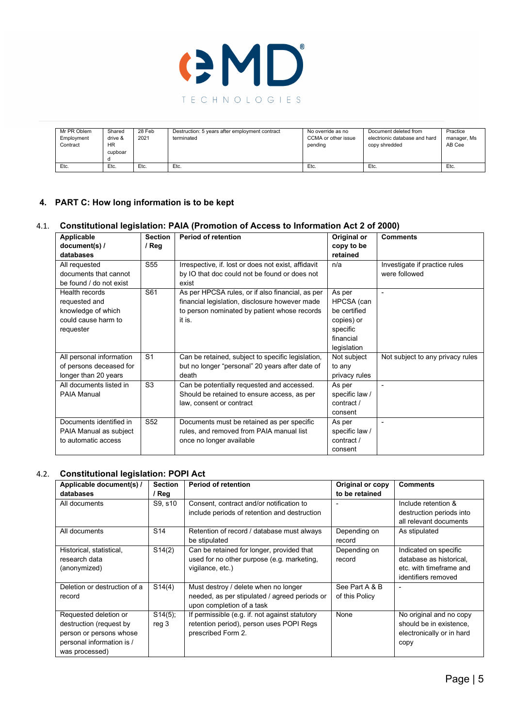

| Mr PR Oblem           | Shared  | 28 Feb | Destruction: 5 years after employment contract | No override as no   | Document deleted from         | Practice    |
|-----------------------|---------|--------|------------------------------------------------|---------------------|-------------------------------|-------------|
| Employment            | drive & | 2021   | terminated                                     | CCMA or other issue | electrionic database and hard | manager, Ms |
| Contract<br><b>HR</b> |         |        | pendina                                        |                     | copy shredded                 | AB Cee      |
|                       | cupboar |        |                                                |                     |                               |             |
|                       |         |        |                                                |                     |                               |             |
| Etc.                  | Etc.    | Etc.   | Etc.                                           | Etc.                | Etc.                          | Etc.        |

#### <span id="page-4-0"></span>**4. PART C: How long information is to be kept**

#### 4.1. **Constitutional legislation: PAIA (Promotion of Access to Information Act 2 of 2000)**

<span id="page-4-1"></span>

| Applicable               | <b>Section</b>  | <b>Period of retention</b>                          | Original or    | <b>Comments</b>                  |
|--------------------------|-----------------|-----------------------------------------------------|----------------|----------------------------------|
| document(s) /            | / Reg           |                                                     | copy to be     |                                  |
| databases                |                 |                                                     | retained       |                                  |
| All requested            | S <sub>55</sub> | Irrespective, if. lost or does not exist, affidavit | n/a            | Investigate if practice rules    |
| documents that cannot    |                 | by IO that doc could not be found or does not       |                | were followed                    |
| be found / do not exist  |                 | exist                                               |                |                                  |
| Health records           | S61             | As per HPCSA rules, or if also financial, as per    | As per         |                                  |
| requested and            |                 | financial legislation, disclosure however made      | HPCSA (can     |                                  |
| knowledge of which       |                 | to person nominated by patient whose records        | be certified   |                                  |
| could cause harm to      |                 | it is.                                              | copies) or     |                                  |
| requester                |                 |                                                     | specific       |                                  |
|                          |                 |                                                     | financial      |                                  |
|                          |                 |                                                     | legislation    |                                  |
| All personal information | S <sub>1</sub>  | Can be retained, subject to specific legislation,   | Not subject    | Not subject to any privacy rules |
| of persons deceased for  |                 | but no longer "personal" 20 years after date of     | to any         |                                  |
| longer than 20 years     |                 | death                                               | privacy rules  |                                  |
| All documents listed in  | S <sub>3</sub>  | Can be potentially requested and accessed.          | As per         |                                  |
| <b>PAIA Manual</b>       |                 | Should be retained to ensure access, as per         | specific law / |                                  |
|                          |                 | law, consent or contract                            | contract /     |                                  |
|                          |                 |                                                     | consent        |                                  |
| Documents identified in  | S <sub>52</sub> | Documents must be retained as per specific          | As per         |                                  |
| PAIA Manual as subject   |                 | rules, and removed from PAIA manual list            | specific law / |                                  |
| to automatic access      |                 | once no longer available                            | contract /     |                                  |
|                          |                 |                                                     | consent        |                                  |

#### 4.2. **Constitutional legislation: POPI Act**

<span id="page-4-2"></span>

| Applicable document(s) /<br>databases                                                                                      | <b>Section</b><br>/ Reg | <b>Period of retention</b>                                                                                         | Original or copy<br>to be retained | <b>Comments</b>                                                                                    |
|----------------------------------------------------------------------------------------------------------------------------|-------------------------|--------------------------------------------------------------------------------------------------------------------|------------------------------------|----------------------------------------------------------------------------------------------------|
| All documents                                                                                                              | S9, s10                 | Consent, contract and/or notification to<br>include periods of retention and destruction                           |                                    | Include retention &<br>destruction periods into<br>all relevant documents                          |
| All documents                                                                                                              | S <sub>14</sub>         | Retention of record / database must always<br>be stipulated                                                        | Depending on<br>record             | As stipulated                                                                                      |
| Historical, statistical,<br>research data<br>(anonymized)                                                                  | S14(2)                  | Can be retained for longer, provided that<br>used for no other purpose (e.g. marketing,<br>vigilance, etc.)        | Depending on<br>record             | Indicated on specific<br>database as historical,<br>etc. with timeframe and<br>identifiers removed |
| Deletion or destruction of a<br>record                                                                                     | S14(4)                  | Must destroy / delete when no longer<br>needed, as per stipulated / agreed periods or<br>upon completion of a task | See Part A & B<br>of this Policy   |                                                                                                    |
| Requested deletion or<br>destruction (request by<br>person or persons whose<br>personal information is /<br>was processed) | S14(5);<br>reg 3        | If permissible (e.g. if. not against statutory<br>retention period), person uses POPI Regs<br>prescribed Form 2.   | None                               | No original and no copy<br>should be in existence.<br>electronically or in hard<br>copy            |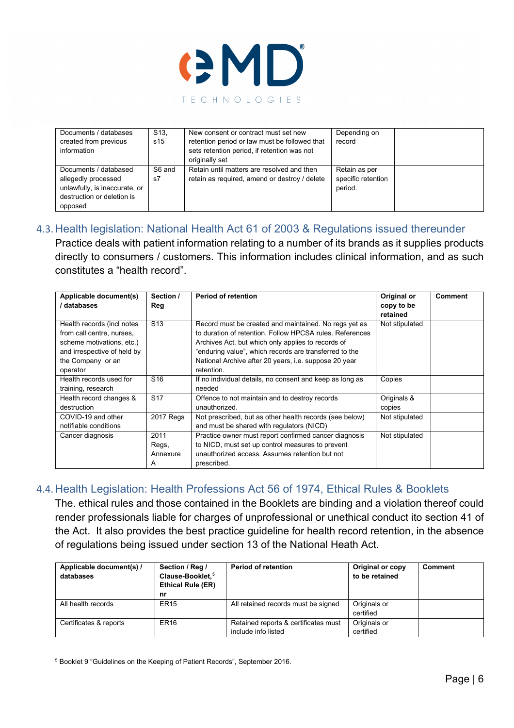

| Documents / databases<br>created from previous<br>information                                                          | S <sub>13</sub><br>s15 | New consent or contract must set new<br>retention period or law must be followed that<br>sets retention period, if retention was not<br>originally set | Depending on<br>record                         |  |
|------------------------------------------------------------------------------------------------------------------------|------------------------|--------------------------------------------------------------------------------------------------------------------------------------------------------|------------------------------------------------|--|
| Documents / databased<br>allegedly processed<br>unlawfully, is inaccurate, or<br>destruction or deletion is<br>opposed | S6 and<br>s7           | Retain until matters are resolved and then<br>retain as required, amend or destroy / delete                                                            | Retain as per<br>specific retention<br>period. |  |

### 4.3. Health legislation: National Health Act 61 of 2003 & Regulations issued thereunder

<span id="page-5-0"></span>Practice deals with patient information relating to a number of its brands as it supplies products directly to consumers / customers. This information includes clinical information, and as such constitutes a "health record".

| Applicable document(s)<br>databases                                                                                                                  | Section /<br>Reg               | <b>Period of retention</b>                                                                                                                                                                                                                                                                                      | Original or<br>copy to be<br>retained | <b>Comment</b> |
|------------------------------------------------------------------------------------------------------------------------------------------------------|--------------------------------|-----------------------------------------------------------------------------------------------------------------------------------------------------------------------------------------------------------------------------------------------------------------------------------------------------------------|---------------------------------------|----------------|
| Health records (incl notes<br>from call centre, nurses,<br>scheme motivations, etc.)<br>and irrespective of held by<br>the Company or an<br>operator | S <sub>13</sub>                | Record must be created and maintained. No regs yet as<br>to duration of retention. Follow HPCSA rules. References<br>Archives Act, but which only applies to records of<br>"enduring value", which records are transferred to the<br>National Archive after 20 years, <i>i.e.</i> suppose 20 year<br>retention. | Not stipulated                        |                |
| Health records used for<br>training, research                                                                                                        | S <sub>16</sub>                | If no individual details, no consent and keep as long as<br>needed                                                                                                                                                                                                                                              | Copies                                |                |
| Health record changes &<br>destruction                                                                                                               | S <sub>17</sub>                | Offence to not maintain and to destroy records<br>unauthorized.                                                                                                                                                                                                                                                 | Originals &<br>copies                 |                |
| COVID-19 and other<br>notifiable conditions                                                                                                          | 2017 Regs                      | Not prescribed, but as other health records (see below)<br>and must be shared with regulators (NICD)                                                                                                                                                                                                            | Not stipulated                        |                |
| Cancer diagnosis                                                                                                                                     | 2011<br>Regs,<br>Annexure<br>A | Practice owner must report confirmed cancer diagnosis<br>to NICD, must set up control measures to prevent<br>unauthorized access. Assumes retention but not<br>prescribed.                                                                                                                                      | Not stipulated                        |                |

## 4.4. Health Legislation: Health Professions Act 56 of 1974, Ethical Rules & Booklets

<span id="page-5-1"></span>The. ethical rules and those contained in the Booklets are binding and a violation thereof could render professionals liable for charges of unprofessional or unethical conduct ito section 41 of the Act. It also provides the best practice guideline for health record retention, in the absence of regulations being issued under section 13 of the National Heath Act.

| Applicable document(s) /<br>databases | Section / Reg /<br>Clause-Booklet. <sup>5</sup><br><b>Ethical Rule (ER)</b><br>nr | <b>Period of retention</b>                                  | Original or copy<br>to be retained | <b>Comment</b> |
|---------------------------------------|-----------------------------------------------------------------------------------|-------------------------------------------------------------|------------------------------------|----------------|
| All health records                    | ER <sub>15</sub>                                                                  | All retained records must be signed                         | Originals or<br>certified          |                |
| Certificates & reports                | ER <sub>16</sub>                                                                  | Retained reports & certificates must<br>include info listed | Originals or<br>certified          |                |

<span id="page-5-2"></span><sup>5</sup> Booklet 9 "Guidelines on the Keeping of Patient Records", September 2016.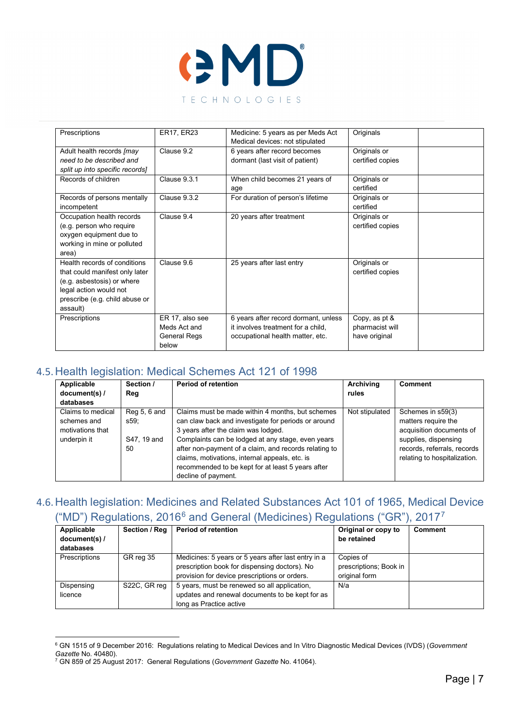

| Prescriptions                   | ER17, ER23          | Medicine: 5 years as per Meds Act    | Originals        |  |
|---------------------------------|---------------------|--------------------------------------|------------------|--|
|                                 |                     | Medical devices: not stipulated      |                  |  |
| Adult health records [may       | Clause 9.2          | 6 years after record becomes         | Originals or     |  |
| need to be described and        |                     | dormant (last visit of patient)      | certified copies |  |
| split up into specific records] |                     |                                      |                  |  |
| Records of children             | Clause 9.3.1        | When child becomes 21 years of       | Originals or     |  |
|                                 |                     | age                                  | certified        |  |
| Records of persons mentally     | Clause 932          | For duration of person's lifetime    | Originals or     |  |
| incompetent                     |                     |                                      | certified        |  |
| Occupation health records       | Clause 9.4          | 20 years after treatment             | Originals or     |  |
| (e.g. person who require        |                     |                                      | certified copies |  |
| oxygen equipment due to         |                     |                                      |                  |  |
| working in mine or polluted     |                     |                                      |                  |  |
| area)                           |                     |                                      |                  |  |
| Health records of conditions    | Clause 9.6          | 25 years after last entry            | Originals or     |  |
| that could manifest only later  |                     |                                      | certified copies |  |
| (e.g. asbestosis) or where      |                     |                                      |                  |  |
| legal action would not          |                     |                                      |                  |  |
| prescribe (e.g. child abuse or  |                     |                                      |                  |  |
| assault)                        |                     |                                      |                  |  |
| Prescriptions                   | ER 17, also see     | 6 years after record dormant, unless | Copy, as pt &    |  |
|                                 | Meds Act and        | it involves treatment for a child.   | pharmacist will  |  |
|                                 | <b>General Regs</b> | occupational health matter, etc.     | have original    |  |
|                                 | below               |                                      |                  |  |

#### 4.5. Health legislation: Medical Schemes Act 121 of 1998

<span id="page-6-0"></span>

| Applicable<br>document(s) /                                         | Section /<br>Reg                          | <b>Period of retention</b>                                                                                                                                                                                                                                                                                                                                                                 | Archiving<br>rules | <b>Comment</b>                                                                                                                                              |
|---------------------------------------------------------------------|-------------------------------------------|--------------------------------------------------------------------------------------------------------------------------------------------------------------------------------------------------------------------------------------------------------------------------------------------------------------------------------------------------------------------------------------------|--------------------|-------------------------------------------------------------------------------------------------------------------------------------------------------------|
| databases                                                           |                                           |                                                                                                                                                                                                                                                                                                                                                                                            |                    |                                                                                                                                                             |
| Claims to medical<br>schemes and<br>motivations that<br>underpin it | Reg 5, 6 and<br>s59:<br>S47, 19 and<br>50 | Claims must be made within 4 months, but schemes<br>can claw back and investigate for periods or around<br>3 years after the claim was lodged.<br>Complaints can be lodged at any stage, even years<br>after non-payment of a claim, and records relating to<br>claims, motivations, internal appeals, etc. is<br>recommended to be kept for at least 5 years after<br>decline of payment. | Not stipulated     | Schemes in s59(3)<br>matters require the<br>acquisition documents of<br>supplies, dispensing<br>records, referrals, records<br>relating to hospitalization. |

# <span id="page-6-1"></span>4.6. Health legislation: Medicines and Related Substances Act 101 of 1965, Medical Device ("MD") Regulations, 201[6](#page-6-2)<sup>6</sup> and General (Medicines) Regulations ("GR"), 201[7](#page-6-3)<sup>7</sup>

| Applicable<br>document(s) /<br>databases | Section / Reg | <b>Period of retention</b>                                                                                                                            | Original or copy to<br>be retained                   | <b>Comment</b> |
|------------------------------------------|---------------|-------------------------------------------------------------------------------------------------------------------------------------------------------|------------------------------------------------------|----------------|
| Prescriptions                            | GR reg 35     | Medicines: 5 years or 5 years after last entry in a<br>prescription book for dispensing doctors). No<br>provision for device prescriptions or orders. | Copies of<br>prescriptions; Book in<br>original form |                |
| Dispensing<br>licence                    | S22C, GR req  | 5 years, must be renewed so all application.<br>updates and renewal documents to be kept for as<br>long as Practice active                            | N/a                                                  |                |

<span id="page-6-2"></span><sup>6</sup> GN 1515 of 9 December 2016: Regulations relating to Medical Devices and In Vitro Diagnostic Medical Devices (IVDS) (*Government Gazette* No. 40480).

<span id="page-6-3"></span><sup>7</sup> GN 859 of 25 August 2017: General Regulations (*Government Gazette* No. 41064).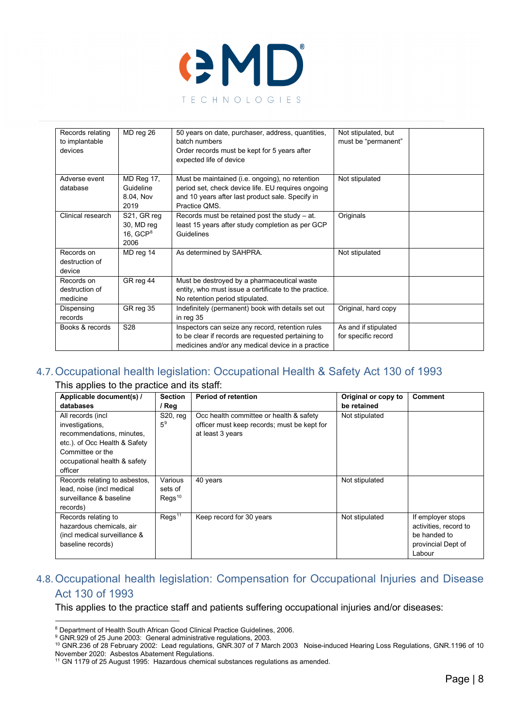

| Records relating  | MD reg 26         | 50 years on date, purchaser, address, quantities,     | Not stipulated, but  |  |
|-------------------|-------------------|-------------------------------------------------------|----------------------|--|
| to implantable    |                   | batch numbers                                         | must be "permanent"  |  |
| devices           |                   | Order records must be kept for 5 years after          |                      |  |
|                   |                   | expected life of device                               |                      |  |
|                   |                   |                                                       |                      |  |
| Adverse event     | <b>MD Reg 17,</b> | Must be maintained (i.e. ongoing), no retention       | Not stipulated       |  |
| database          | Guideline         | period set, check device life. EU requires ongoing    |                      |  |
|                   | 8.04, Nov         | and 10 years after last product sale. Specify in      |                      |  |
|                   | 2019              | Practice OMS.                                         |                      |  |
| Clinical research | S21, GR reg       | Records must be retained post the study $-$ at.       | Originals            |  |
|                   | 30, MD reg        | least 15 years after study completion as per GCP      |                      |  |
|                   | 16, $GCP8$        | Guidelines                                            |                      |  |
|                   | 2006              |                                                       |                      |  |
| Records on        | MD reg 14         | As determined by SAHPRA.                              | Not stipulated       |  |
| destruction of    |                   |                                                       |                      |  |
| device            |                   |                                                       |                      |  |
| Records on        | GR reg 44         | Must be destroyed by a pharmaceutical waste           |                      |  |
| destruction of    |                   | entity, who must issue a certificate to the practice. |                      |  |
| medicine          |                   | No retention period stipulated.                       |                      |  |
| Dispensing        | GR reg 35         | Indefinitely (permanent) book with details set out    | Original, hard copy  |  |
| records           |                   | in reg 35                                             |                      |  |
| Books & records   | S28               | Inspectors can seize any record, retention rules      | As and if stipulated |  |
|                   |                   | to be clear if records are requested pertaining to    | for specific record  |  |
|                   |                   | medicines and/or any medical device in a practice     |                      |  |

## 4.7.Occupational health legislation: Occupational Health & Safety Act 130 of 1993

<span id="page-7-0"></span>This applies to the practice and its staff:

| Applicable document(s) /      | <b>Section</b>     | <b>Period of retention</b>                  | Original or copy to | <b>Comment</b>        |
|-------------------------------|--------------------|---------------------------------------------|---------------------|-----------------------|
| databases                     | / Reg              |                                             | be retained         |                       |
| All records (incl             | $S20$ , reg        | Occ health committee or health & safety     | Not stipulated      |                       |
| investigations,               | 5 <sup>9</sup>     | officer must keep records; must be kept for |                     |                       |
| recommendations, minutes,     |                    | at least 3 years                            |                     |                       |
| etc.). of Occ Health & Safety |                    |                                             |                     |                       |
| Committee or the              |                    |                                             |                     |                       |
| occupational health & safety  |                    |                                             |                     |                       |
| officer                       |                    |                                             |                     |                       |
| Records relating to asbestos, | Various            | 40 years                                    | Not stipulated      |                       |
| lead, noise (incl medical     | sets of            |                                             |                     |                       |
| surveillance & baseline       | Regs <sup>10</sup> |                                             |                     |                       |
| records)                      |                    |                                             |                     |                       |
| Records relating to           | Regs <sup>11</sup> | Keep record for 30 years                    | Not stipulated      | If employer stops     |
| hazardous chemicals, air      |                    |                                             |                     | activities, record to |
| (incl medical surveillance &  |                    |                                             |                     | be handed to          |
| baseline records)             |                    |                                             |                     | provincial Dept of    |
|                               |                    |                                             |                     | Labour                |

### <span id="page-7-1"></span>4.8.Occupational health legislation: Compensation for Occupational Injuries and Disease Act 130 of 1993

This applies to the practice staff and patients suffering occupational injuries and/or diseases:

<span id="page-7-2"></span><sup>8</sup> Department of Health South African Good Clinical Practice Guidelines, 2006.

<sup>&</sup>lt;sup>9</sup> GNR.929 of 25 June 2003: General administrative regulations, 2003.

<span id="page-7-4"></span><span id="page-7-3"></span><sup>10</sup> GNR.236 of 28 February 2002: Lead regulations, GNR.307 of 7 March 2003 Noise-induced Hearing Loss Regulations, GNR.1196 of 10 November 2020: Asbestos Abatement Regulations.

<span id="page-7-5"></span><sup>&</sup>lt;sup>11</sup> GN 1179 of 25 August 1995: Hazardous chemical substances regulations as amended.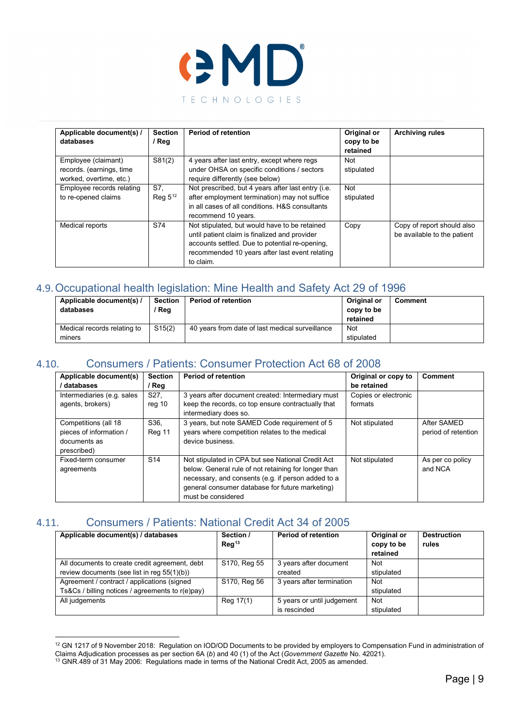

| Applicable document(s) /<br>databases                                      | <b>Section</b><br>/ Reg | <b>Period of retention</b>                                                                                                                                                                                      | Original or<br>copy to be<br>retained | <b>Archiving rules</b>                                    |
|----------------------------------------------------------------------------|-------------------------|-----------------------------------------------------------------------------------------------------------------------------------------------------------------------------------------------------------------|---------------------------------------|-----------------------------------------------------------|
| Employee (claimant)<br>records. (earnings, time<br>worked, overtime, etc.) | S81(2)                  | 4 years after last entry, except where regs<br>under OHSA on specific conditions / sectors<br>require differently (see below)                                                                                   | Not<br>stipulated                     |                                                           |
| Employee records relating<br>to re-opened claims                           | S7.<br>Reg $5^{12}$     | Not prescribed, but 4 years after last entry (i.e.<br>after employment termination) may not suffice<br>in all cases of all conditions. H&S consultants<br>recommend 10 years.                                   | Not<br>stipulated                     |                                                           |
| Medical reports                                                            | S74                     | Not stipulated, but would have to be retained<br>until patient claim is finalized and provider<br>accounts settled. Due to potential re-opening,<br>recommended 10 years after last event relating<br>to claim. | Copy                                  | Copy of report should also<br>be available to the patient |

## 4.9.Occupational health legislation: Mine Health and Safety Act 29 of 1996

<span id="page-8-0"></span>

| Applicable document(s) /<br>databases | <b>Section</b><br>Reg | <b>Period of retention</b>                      | Original or<br>copy to be<br>retained | Comment |
|---------------------------------------|-----------------------|-------------------------------------------------|---------------------------------------|---------|
| Medical records relating to           | S15(2)                | 40 years from date of last medical surveillance | Not                                   |         |
| miners                                |                       |                                                 | stipulated                            |         |

### 4.10. Consumers / Patients: Consumer Protection Act 68 of 2008

<span id="page-8-1"></span>

| Applicable document(s)<br>/ databases                                          | <b>Section</b><br>/ Reg | <b>Period of retention</b>                                                                                                                                                                                                               | Original or copy to<br>be retained | Comment                            |
|--------------------------------------------------------------------------------|-------------------------|------------------------------------------------------------------------------------------------------------------------------------------------------------------------------------------------------------------------------------------|------------------------------------|------------------------------------|
| Intermediaries (e.g. sales<br>agents, brokers)                                 | S27.<br>reg 10          | 3 years after document created: Intermediary must<br>keep the records, co top ensure contractually that<br>intermediary does so.                                                                                                         | Copies or electronic<br>formats    |                                    |
| Competitions (all 18<br>pieces of information /<br>documents as<br>prescribed) | S36.<br>Reg 11          | 3 years, but note SAMED Code requirement of 5<br>years where competition relates to the medical<br>device business.                                                                                                                      | Not stipulated                     | After SAMED<br>period of retention |
| Fixed-term consumer<br>agreements                                              | S <sub>14</sub>         | Not stipulated in CPA but see National Credit Act<br>below. General rule of not retaining for longer than<br>necessary, and consents (e.g. if person added to a<br>general consumer database for future marketing)<br>must be considered | Not stipulated                     | As per co policy<br>and NCA        |

# 4.11. Consumers / Patients: National Credit Act 34 of 2005

<span id="page-8-2"></span>

| Applicable document(s) / databases               | Section /<br>Reg <sup>13</sup> | <b>Period of retention</b> | Original or<br>copy to be<br>retained | <b>Destruction</b><br>rules |
|--------------------------------------------------|--------------------------------|----------------------------|---------------------------------------|-----------------------------|
| All documents to create credit agreement, debt   | S170, Reg 55                   | 3 years after document     | Not                                   |                             |
| review documents (see list in reg 55(1)(b))      |                                | created                    | stipulated                            |                             |
| Agreement / contract / applications (signed      | S170, Reg 56                   | 3 years after termination  | <b>Not</b>                            |                             |
| Ts&Cs / billing notices / agreements to r(e)pay) |                                |                            | stipulated                            |                             |
| All judgements                                   | Reg 17(1)                      | 5 years or until judgement | <b>Not</b>                            |                             |
|                                                  |                                | is rescinded               | stipulated                            |                             |

<span id="page-8-3"></span><sup>&</sup>lt;sup>12</sup> GN 1217 of 9 November 2018: Regulation on IOD/OD Documents to be provided by employers to Compensation Fund in administration of Claims Adjudication processes as per section 6A (*b*) and 40 (1) of the Act (*Government Gazette* No. 42021).

<span id="page-8-4"></span> $^{13}$  GNR.489 of 31 May 2006: Regulations made in terms of the National Credit Act, 2005 as amended.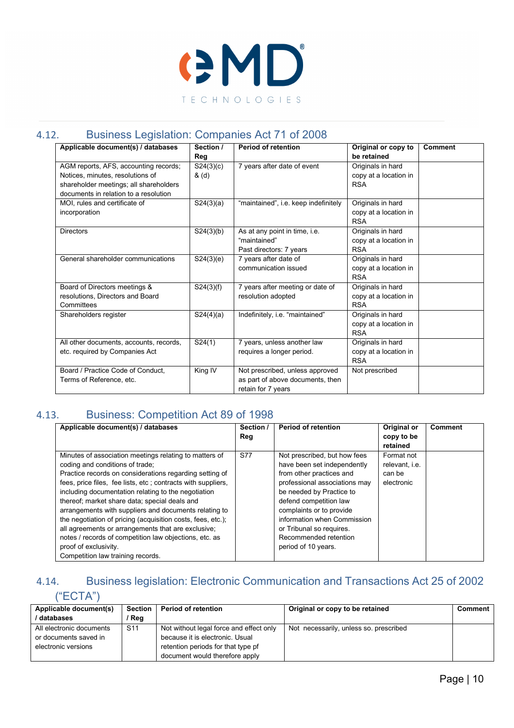

## 4.12. Business Legislation: Companies Act 71 of 2008

<span id="page-9-0"></span>

| Applicable document(s) / databases                                                                                                                           | Section /<br>Reg   | <b>Period of retention</b>                                                                | Original or copy to<br>be retained                       | <b>Comment</b> |
|--------------------------------------------------------------------------------------------------------------------------------------------------------------|--------------------|-------------------------------------------------------------------------------------------|----------------------------------------------------------|----------------|
| AGM reports, AFS, accounting records;<br>Notices, minutes, resolutions of<br>shareholder meetings; all shareholders<br>documents in relation to a resolution | S24(3)(c)<br>& (d) | 7 years after date of event                                                               | Originals in hard<br>copy at a location in<br><b>RSA</b> |                |
| MOI, rules and certificate of<br>incorporation                                                                                                               | S24(3)(a)          | "maintained", i.e. keep indefinitely                                                      | Originals in hard<br>copy at a location in<br><b>RSA</b> |                |
| <b>Directors</b>                                                                                                                                             | S24(3)(b)          | As at any point in time, i.e.<br>"maintained"<br>Past directors: 7 years                  | Originals in hard<br>copy at a location in<br><b>RSA</b> |                |
| General shareholder communications                                                                                                                           | S24(3)(e)          | 7 years after date of<br>communication issued                                             | Originals in hard<br>copy at a location in<br><b>RSA</b> |                |
| Board of Directors meetings &<br>resolutions, Directors and Board<br>Committees                                                                              | S24(3)(f)          | 7 years after meeting or date of<br>resolution adopted                                    | Originals in hard<br>copy at a location in<br><b>RSA</b> |                |
| Shareholders register                                                                                                                                        | S24(4)(a)          | Indefinitely, i.e. "maintained"                                                           | Originals in hard<br>copy at a location in<br><b>RSA</b> |                |
| All other documents, accounts, records,<br>etc. required by Companies Act                                                                                    | S24(1)             | 7 years, unless another law<br>requires a longer period.                                  | Originals in hard<br>copy at a location in<br><b>RSA</b> |                |
| Board / Practice Code of Conduct,<br>Terms of Reference, etc.                                                                                                | King IV            | Not prescribed, unless approved<br>as part of above documents, then<br>retain for 7 years | Not prescribed                                           |                |

# 4.13. Business: Competition Act 89 of 1998

<span id="page-9-1"></span>

| Applicable document(s) / databases                                                                                                                                                                                                                                                                                                                                                                                                                                                                                                                                                                                                 | Section /<br>Reg | <b>Period of retention</b>                                                                                                                                                                                                                                                                                            | Original or<br>copy to be<br>retained                | <b>Comment</b> |
|------------------------------------------------------------------------------------------------------------------------------------------------------------------------------------------------------------------------------------------------------------------------------------------------------------------------------------------------------------------------------------------------------------------------------------------------------------------------------------------------------------------------------------------------------------------------------------------------------------------------------------|------------------|-----------------------------------------------------------------------------------------------------------------------------------------------------------------------------------------------------------------------------------------------------------------------------------------------------------------------|------------------------------------------------------|----------------|
| Minutes of association meetings relating to matters of<br>coding and conditions of trade;<br>Practice records on considerations regarding setting of<br>fees, price files, fee lists, etc; contracts with suppliers,<br>including documentation relating to the negotiation<br>thereof; market share data; special deals and<br>arrangements with suppliers and documents relating to<br>the negotiation of pricing (acquisition costs, fees, etc.);<br>all agreements or arrangements that are exclusive;<br>notes / records of competition law objections, etc. as<br>proof of exclusivity.<br>Competition law training records. | <b>S77</b>       | Not prescribed, but how fees<br>have been set independently<br>from other practices and<br>professional associations may<br>be needed by Practice to<br>defend competition law<br>complaints or to provide<br>information when Commission<br>or Tribunal so requires.<br>Recommended retention<br>period of 10 years. | Format not<br>relevant, i.e.<br>can be<br>electronic |                |

# 4.14. Business legislation: Electronic Communication and Transactions Act 25 of 2002

# <span id="page-9-2"></span>("ECTA")

| Applicable document(s)<br>/ databases                                    | Section<br>/ Reg | <b>Period of retention</b>                                                                                                                         | Original or copy to be retained        | Comment |
|--------------------------------------------------------------------------|------------------|----------------------------------------------------------------------------------------------------------------------------------------------------|----------------------------------------|---------|
| All electronic documents<br>or documents saved in<br>electronic versions | S <sub>11</sub>  | Not without legal force and effect only<br>because it is electronic. Usual<br>retention periods for that type pf<br>document would therefore apply | Not necessarily, unless so. prescribed |         |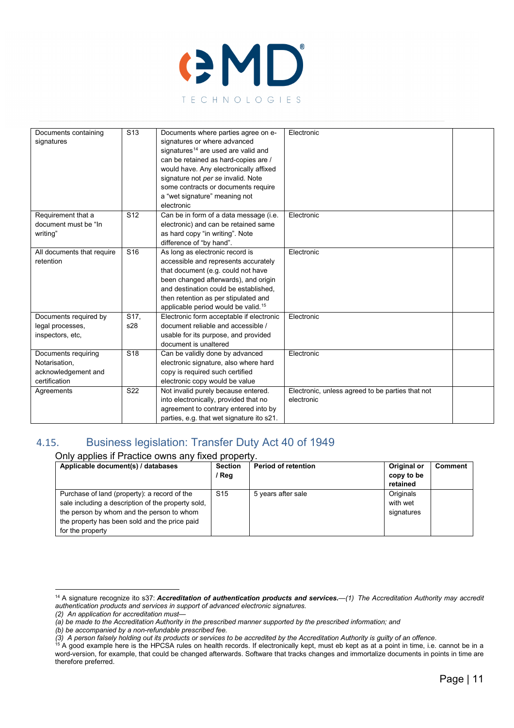

| Documents containing       | S <sub>13</sub>   | Documents where parties agree on e-             | Electronic                                       |  |
|----------------------------|-------------------|-------------------------------------------------|--------------------------------------------------|--|
| signatures                 |                   | signatures or where advanced                    |                                                  |  |
|                            |                   | signatures <sup>14</sup> are used are valid and |                                                  |  |
|                            |                   | can be retained as hard-copies are /            |                                                  |  |
|                            |                   | would have. Any electronically affixed          |                                                  |  |
|                            |                   | signature not per se invalid. Note              |                                                  |  |
|                            |                   |                                                 |                                                  |  |
|                            |                   | some contracts or documents require             |                                                  |  |
|                            |                   | a "wet signature" meaning not                   |                                                  |  |
|                            |                   | electronic                                      |                                                  |  |
| Requirement that a         | S <sub>12</sub>   | Can be in form of a data message (i.e.          | Electronic                                       |  |
| document must be "In       |                   | electronic) and can be retained same            |                                                  |  |
| writina"                   |                   | as hard copy "in writing". Note                 |                                                  |  |
|                            |                   | difference of "by hand".                        |                                                  |  |
| All documents that require | S <sub>16</sub>   | As long as electronic record is                 | Electronic                                       |  |
| retention                  |                   | accessible and represents accurately            |                                                  |  |
|                            |                   | that document (e.g. could not have              |                                                  |  |
|                            |                   | been changed afterwards), and origin            |                                                  |  |
|                            |                   | and destination could be established.           |                                                  |  |
|                            |                   | then retention as per stipulated and            |                                                  |  |
|                            |                   | applicable period would be valid. <sup>15</sup> |                                                  |  |
| Documents required by      | S <sub>17</sub> . | Electronic form acceptable if electronic        | Electronic                                       |  |
| legal processes,           | s28               | document reliable and accessible /              |                                                  |  |
| inspectors, etc,           |                   | usable for its purpose, and provided            |                                                  |  |
|                            |                   | document is unaltered                           |                                                  |  |
| Documents requiring        | S <sub>18</sub>   | Can be validly done by advanced                 | Electronic                                       |  |
| Notarisation,              |                   | electronic signature, also where hard           |                                                  |  |
| acknowledgement and        |                   | copy is required such certified                 |                                                  |  |
| certification              |                   | electronic copy would be value                  |                                                  |  |
| Agreements                 | S <sub>22</sub>   | Not invalid purely because entered.             | Electronic, unless agreed to be parties that not |  |
|                            |                   | into electronically, provided that no           | electronic                                       |  |
|                            |                   | agreement to contrary entered into by           |                                                  |  |
|                            |                   | parties, e.g. that wet signature ito s21.       |                                                  |  |

## 4.15. Business legislation: Transfer Duty Act 40 of 1949

#### <span id="page-10-0"></span>Only applies if Practice owns any fixed property.

| Applicable document(s) / databases                                                                                                                                                                                   | <b>Section</b><br>/ Reg | <b>Period of retention</b> | Original or<br>copy to be           | <b>Comment</b> |
|----------------------------------------------------------------------------------------------------------------------------------------------------------------------------------------------------------------------|-------------------------|----------------------------|-------------------------------------|----------------|
|                                                                                                                                                                                                                      |                         |                            | retained                            |                |
| Purchase of land (property): a record of the<br>sale including a description of the property sold,<br>the person by whom and the person to whom<br>the property has been sold and the price paid<br>for the property | S <sub>15</sub>         | 5 years after sale         | Originals<br>with wet<br>signatures |                |

*(2) An application for accreditation must—*

<span id="page-10-1"></span><sup>14</sup> A signature recognize ito s37: *Accreditation of authentication products and services.—(1) The Accreditation Authority may accredit authentication products and services in support of advanced electronic signatures.*

*<sup>(</sup>a) be made to the Accreditation Authority in the prescribed manner supported by the prescribed information; and*

*<sup>(</sup>b) be accompanied by a non-refundable prescribed fee.*

*<sup>(3)</sup> A person falsely holding out its products or services to be accredited by the Accreditation Authority is guilty of an offence*.

<span id="page-10-2"></span> $^{15}$  A good example here is the HPCSA rules on health records. If electronically kept, must eb kept as at a point in time, i.e. cannot be in a word-version, for example, that could be changed afterwards. Software that tracks changes and immortalize documents in points in time are therefore preferred.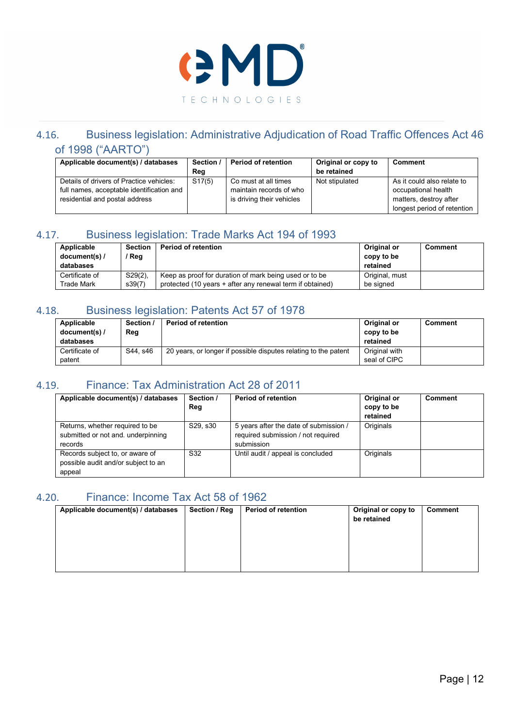

### <span id="page-11-0"></span>4.16. Business legislation: Administrative Adjudication of Road Traffic Offences Act 46 of 1998 ("AARTO")

| Applicable document(s) / databases        | Section / | <b>Period of retention</b> | Original or copy to | <b>Comment</b>              |
|-------------------------------------------|-----------|----------------------------|---------------------|-----------------------------|
|                                           | Reg       |                            | be retained         |                             |
| Details of drivers of Practice vehicles:  | S17(5)    | Co must at all times       | Not stipulated      | As it could also relate to  |
| full names, acceptable identification and |           | maintain records of who    |                     | occupational health         |
| residential and postal address            |           | is driving their vehicles  |                     | matters, destroy after      |
|                                           |           |                            |                     | longest period of retention |

### 4.17. Business legislation: Trade Marks Act 194 of 1993

<span id="page-11-1"></span>

| Applicable     | <b>Section</b> | <b>Period of retention</b>                                | Original or    | Comment |
|----------------|----------------|-----------------------------------------------------------|----------------|---------|
| document(s) /  | Reg            |                                                           | copy to be     |         |
| databases      |                |                                                           | retained       |         |
| Certificate of | $S29(2)$ ,     | Keep as proof for duration of mark being used or to be    | Original, must |         |
| Trade Mark     | s39(7)         | protected (10 years + after any renewal term if obtained) | be signed      |         |

# 4.18. Business legislation: Patents Act 57 of 1978

<span id="page-11-2"></span>

| Applicable<br>document(s) /<br>databases | Section /<br>Reg | <b>Period of retention</b>                                      | Original or<br>copy to be<br>retained | Comment |
|------------------------------------------|------------------|-----------------------------------------------------------------|---------------------------------------|---------|
| Certificate of<br>patent                 | S44. s46         | 20 years, or longer if possible disputes relating to the patent | Original with<br>seal of CIPC         |         |

## 4.19. Finance: Tax Administration Act 28 of 2011

<span id="page-11-3"></span>

| Applicable document(s) / databases                                               | Section /<br>Reg | <b>Period of retention</b>                                                                 | Original or<br>copy to be<br>retained | <b>Comment</b> |
|----------------------------------------------------------------------------------|------------------|--------------------------------------------------------------------------------------------|---------------------------------------|----------------|
| Returns, whether required to be<br>submitted or not and, underpinning<br>records | S29, s30         | 5 years after the date of submission /<br>required submission / not required<br>submission | Originals                             |                |
| Records subject to, or aware of<br>possible audit and/or subject to an<br>appeal | S32              | Until audit / appeal is concluded                                                          | Originals                             |                |

#### 4.20. Finance: Income Tax Act 58 of 1962

<span id="page-11-4"></span>

| Applicable document(s) / databases | Section / Reg | <b>Period of retention</b> | Original or copy to<br>be retained | Comment |
|------------------------------------|---------------|----------------------------|------------------------------------|---------|
|                                    |               |                            |                                    |         |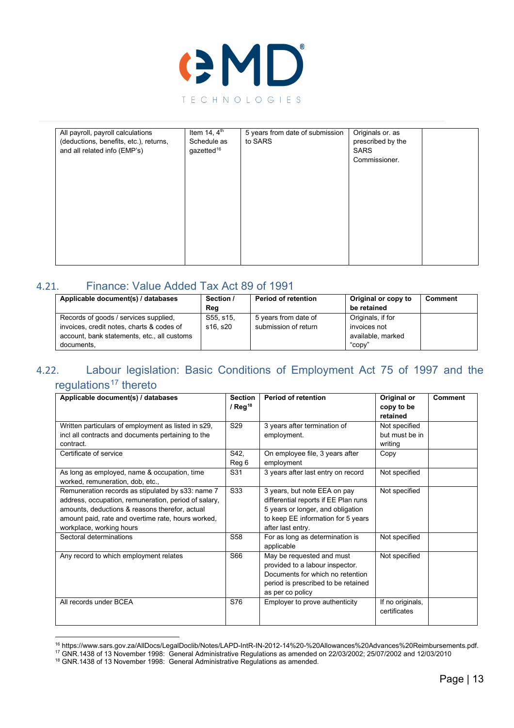

| All payroll, payroll calculations      | Item 14, $4th$         | 5 years from date of submission | Originals or. as  |  |
|----------------------------------------|------------------------|---------------------------------|-------------------|--|
|                                        |                        |                                 |                   |  |
| (deductions, benefits, etc.), returns, | Schedule as            | to SARS                         | prescribed by the |  |
| and all related info (EMP's)           | gazetted <sup>16</sup> |                                 | <b>SARS</b>       |  |
|                                        |                        |                                 | Commissioner.     |  |
|                                        |                        |                                 |                   |  |
|                                        |                        |                                 |                   |  |
|                                        |                        |                                 |                   |  |
|                                        |                        |                                 |                   |  |
|                                        |                        |                                 |                   |  |
|                                        |                        |                                 |                   |  |
|                                        |                        |                                 |                   |  |
|                                        |                        |                                 |                   |  |
|                                        |                        |                                 |                   |  |
|                                        |                        |                                 |                   |  |
|                                        |                        |                                 |                   |  |
|                                        |                        |                                 |                   |  |
|                                        |                        |                                 |                   |  |
|                                        |                        |                                 |                   |  |

#### 4.21. Finance: Value Added Tax Act 89 of 1991

<span id="page-12-0"></span>

| Applicable document(s) / databases                                                                                                | Section /<br>Reg      | <b>Period of retention</b>                   | Original or copy to<br>be retained                     | Comment |
|-----------------------------------------------------------------------------------------------------------------------------------|-----------------------|----------------------------------------------|--------------------------------------------------------|---------|
| Records of goods / services supplied.<br>invoices, credit notes, charts & codes of<br>account, bank statements, etc., all customs | S55, s15,<br>s16. s20 | 5 years from date of<br>submission of return | Originals, if for<br>invoices not<br>available, marked |         |
| documents.                                                                                                                        |                       |                                              | "copy"                                                 |         |

# <span id="page-12-1"></span>4.22. Labour legislation: Basic Conditions of Employment Act 75 of 1997 and the regulations<sup>[17](#page-12-3)</sup> thereto

| Applicable document(s) / databases                                                                                                                                                                                                            | <b>Section</b><br>/ $Reg^{18}$ | <b>Period of retention</b>                                                                                                                                           | Original or<br>copy to be<br>retained      | <b>Comment</b> |
|-----------------------------------------------------------------------------------------------------------------------------------------------------------------------------------------------------------------------------------------------|--------------------------------|----------------------------------------------------------------------------------------------------------------------------------------------------------------------|--------------------------------------------|----------------|
| Written particulars of employment as listed in s29,<br>incl all contracts and documents pertaining to the<br>contract.                                                                                                                        | S <sub>29</sub>                | 3 years after termination of<br>employment.                                                                                                                          | Not specified<br>but must be in<br>writing |                |
| Certificate of service                                                                                                                                                                                                                        | S42,<br>Reg 6                  | On employee file, 3 years after<br>employment                                                                                                                        | Copy                                       |                |
| As long as employed, name & occupation, time<br>worked, remuneration, dob, etc.,                                                                                                                                                              | S31                            | 3 years after last entry on record                                                                                                                                   | Not specified                              |                |
| Remuneration records as stipulated by s33: name 7<br>address, occupation, remuneration, period of salary,<br>amounts, deductions & reasons therefor, actual<br>amount paid, rate and overtime rate, hours worked,<br>workplace, working hours | S33                            | 3 years, but note EEA on pay<br>differential reports if EE Plan runs<br>5 years or longer, and obligation<br>to keep EE information for 5 years<br>after last entry. | Not specified                              |                |
| Sectoral determinations                                                                                                                                                                                                                       | S <sub>58</sub>                | For as long as determination is<br>applicable                                                                                                                        | Not specified                              |                |
| Any record to which employment relates                                                                                                                                                                                                        | S66                            | May be requested and must<br>provided to a labour inspector.<br>Documents for which no retention<br>period is prescribed to be retained<br>as per co policy          | Not specified                              |                |
| All records under BCEA                                                                                                                                                                                                                        | S76                            | Employer to prove authenticity                                                                                                                                       | If no originals,<br>certificates           |                |

<span id="page-12-3"></span><span id="page-12-2"></span><sup>16</sup> https://www.sars.gov.za/AllDocs/LegalDoclib/Notes/LAPD-IntR-IN-2012-14%20-%20Allowances%20Advances%20Reimbursements.pdf.

 $^{17}$  GNR.1438 of 13 November 1998: General Administrative Regulations as amended on 22/03/2002; 25/07/2002 and 12/03/2010

<span id="page-12-4"></span> $18$  GNR.1438 of 13 November 1998: General Administrative Regulations as amended.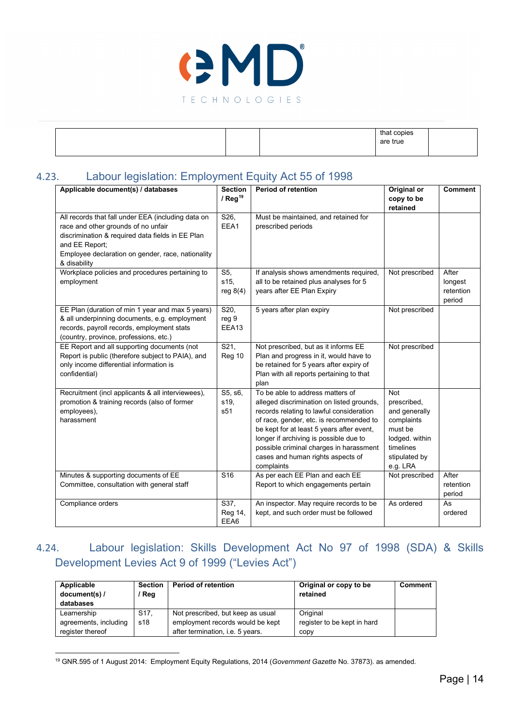

|  | that copies |  |
|--|-------------|--|
|  | are true    |  |
|  |             |  |
|  |             |  |

# 4.23. Labour legislation: Employment Equity Act 55 of 1998

<span id="page-13-0"></span>

| Applicable document(s) / databases                 | <b>Section</b>   | <b>Period of retention</b>                | Original or    | <b>Comment</b> |
|----------------------------------------------------|------------------|-------------------------------------------|----------------|----------------|
|                                                    | / $Reg19$        |                                           | copy to be     |                |
|                                                    |                  |                                           | retained       |                |
| All records that fall under EEA (including data on | S26,             | Must be maintained, and retained for      |                |                |
| race and other grounds of no unfair                | EEA1             | prescribed periods                        |                |                |
| discrimination & required data fields in EE Plan   |                  |                                           |                |                |
| and EE Report;                                     |                  |                                           |                |                |
| Employee declaration on gender, race, nationality  |                  |                                           |                |                |
| & disability                                       |                  |                                           |                |                |
| Workplace policies and procedures pertaining to    | S5,              | If analysis shows amendments required,    | Not prescribed | After          |
| employment                                         | s15,             | all to be retained plus analyses for 5    |                | longest        |
|                                                    | reg $8(4)$       | years after EE Plan Expiry                |                | retention      |
|                                                    |                  |                                           |                | period         |
| EE Plan (duration of min 1 year and max 5 years)   | S20,             | 5 years after plan expiry                 | Not prescribed |                |
| & all underpinning documents, e.g. employment      | reg 9            |                                           |                |                |
| records, payroll records, employment stats         | EEA13            |                                           |                |                |
| (country, province, professions, etc.)             |                  |                                           |                |                |
| EE Report and all supporting documents (not        | $\overline{S21}$ | Not prescribed, but as it informs EE      | Not prescribed |                |
| Report is public (therefore subject to PAIA), and  | Reg 10           | Plan and progress in it, would have to    |                |                |
| only income differential information is            |                  | be retained for 5 years after expiry of   |                |                |
| confidential)                                      |                  | Plan with all reports pertaining to that  |                |                |
|                                                    |                  | plan                                      |                |                |
| Recruitment (incl applicants & all interviewees),  | S5, s6,          | To be able to address matters of          | <b>Not</b>     |                |
| promotion & training records (also of former       | s19.             | alleged discrimination on listed grounds, | prescribed,    |                |
| employees),                                        | s51              | records relating to lawful consideration  | and generally  |                |
| harassment                                         |                  | of race, gender, etc. is recommended to   | complaints     |                |
|                                                    |                  | be kept for at least 5 years after event, | must be        |                |
|                                                    |                  | longer if archiving is possible due to    | lodged. within |                |
|                                                    |                  | possible criminal charges in harassment   | timelines      |                |
|                                                    |                  | cases and human rights aspects of         | stipulated by  |                |
|                                                    |                  | complaints                                | e.g. LRA       |                |
| Minutes & supporting documents of EE               | S <sub>16</sub>  | As per each EE Plan and each EE           | Not prescribed | After          |
| Committee, consultation with general staff         |                  | Report to which engagements pertain       |                | retention      |
|                                                    |                  |                                           |                | period         |
| Compliance orders                                  | S37,             | An inspector. May require records to be   | As ordered     | As             |
|                                                    | Reg 14,          | kept, and such order must be followed     |                | ordered        |
|                                                    | EEA6             |                                           |                |                |

# 4.24. Labour legislation: Skills Development Act No 97 of 1998 (SDA) & Skills Development Levies Act 9 of 1999 ("Levies Act")

<span id="page-13-1"></span>

| Applicable<br>document(s) /<br>databases | <b>Section</b><br>Reg | <b>Period of retention</b>        | Original or copy to be<br>retained | Comment |
|------------------------------------------|-----------------------|-----------------------------------|------------------------------------|---------|
| Learnership                              | S <sub>17</sub> .     | Not prescribed, but keep as usual | Original                           |         |
| agreements, including                    | s18                   | employment records would be kept  | register to be kept in hard        |         |
| register thereof                         |                       | after termination, i.e. 5 years.  | copy                               |         |

<span id="page-13-2"></span><sup>19</sup> GNR.595 of 1 August 2014: Employment Equity Regulations, 2014 (*Government Gazette* No. 37873). as amended.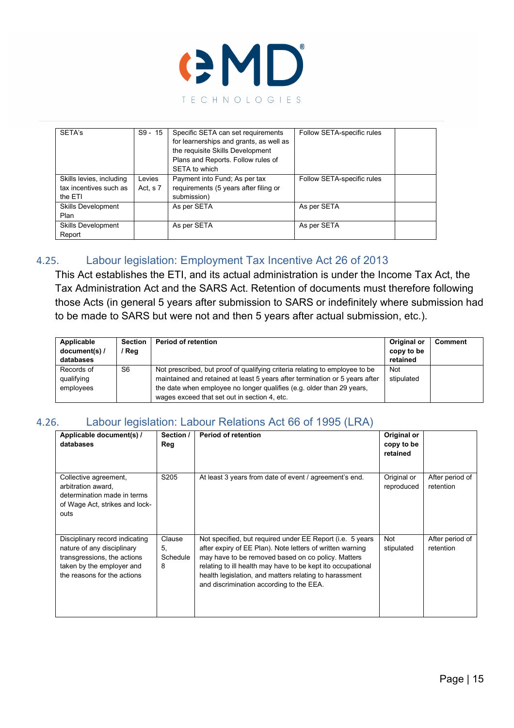

| SETA's                                                        | $S9 - 15$            | Specific SETA can set requirements<br>for learnerships and grants, as well as<br>the requisite Skills Development<br>Plans and Reports. Follow rules of<br>SETA to which | Follow SETA-specific rules |
|---------------------------------------------------------------|----------------------|--------------------------------------------------------------------------------------------------------------------------------------------------------------------------|----------------------------|
| Skills levies, including<br>tax incentives such as<br>the ETI | Levies<br>Act, $s$ 7 | Payment into Fund; As per tax<br>requirements (5 years after filing or<br>submission)                                                                                    | Follow SETA-specific rules |
| <b>Skills Development</b><br>Plan                             |                      | As per SETA                                                                                                                                                              | As per SETA                |
| <b>Skills Development</b><br>Report                           |                      | As per SETA                                                                                                                                                              | As per SETA                |

### 4.25. Labour legislation: Employment Tax Incentive Act 26 of 2013

<span id="page-14-0"></span>This Act establishes the ETI, and its actual administration is under the Income Tax Act, the Tax Administration Act and the SARS Act. Retention of documents must therefore following those Acts (in general 5 years after submission to SARS or indefinitely where submission had to be made to SARS but were not and then 5 years after actual submission, etc.).

| Applicable<br>document(s) /<br>databases | <b>Section</b><br>' Reg | <b>Period of retention</b>                                                                                                                                                                                                          | Original or<br>copy to be<br>retained | <b>Comment</b> |
|------------------------------------------|-------------------------|-------------------------------------------------------------------------------------------------------------------------------------------------------------------------------------------------------------------------------------|---------------------------------------|----------------|
| Records of<br>qualifying<br>employees    | S6                      | Not prescribed, but proof of qualifying criteria relating to employee to be<br>maintained and retained at least 5 years after termination or 5 years after<br>the date when employee no longer qualifies (e.g. older than 29 years, | <b>Not</b><br>stipulated              |                |
|                                          |                         | wages exceed that set out in section 4, etc.                                                                                                                                                                                        |                                       |                |

#### 4.26. Labour legislation: Labour Relations Act 66 of 1995 (LRA)

<span id="page-14-1"></span>

| Applicable document(s) /<br>databases                                                                                                                   | Section /<br>Reg              | <b>Period of retention</b>                                                                                                                                                                                                                                                                                                                        | Original or<br>copy to be<br>retained |                              |
|---------------------------------------------------------------------------------------------------------------------------------------------------------|-------------------------------|---------------------------------------------------------------------------------------------------------------------------------------------------------------------------------------------------------------------------------------------------------------------------------------------------------------------------------------------------|---------------------------------------|------------------------------|
| Collective agreement,<br>arbitration award,<br>determination made in terms<br>of Wage Act, strikes and lock-<br>outs                                    | S205                          | At least 3 years from date of event / agreement's end.                                                                                                                                                                                                                                                                                            | Original or<br>reproduced             | After period of<br>retention |
| Disciplinary record indicating<br>nature of any disciplinary<br>transgressions, the actions<br>taken by the employer and<br>the reasons for the actions | Clause<br>5.<br>Schedule<br>8 | Not specified, but required under EE Report (i.e. 5 years<br>after expiry of EE Plan). Note letters of written warning<br>may have to be removed based on co policy. Matters<br>relating to ill health may have to be kept ito occupational<br>health legislation, and matters relating to harassment<br>and discrimination according to the EEA. | Not<br>stipulated                     | After period of<br>retention |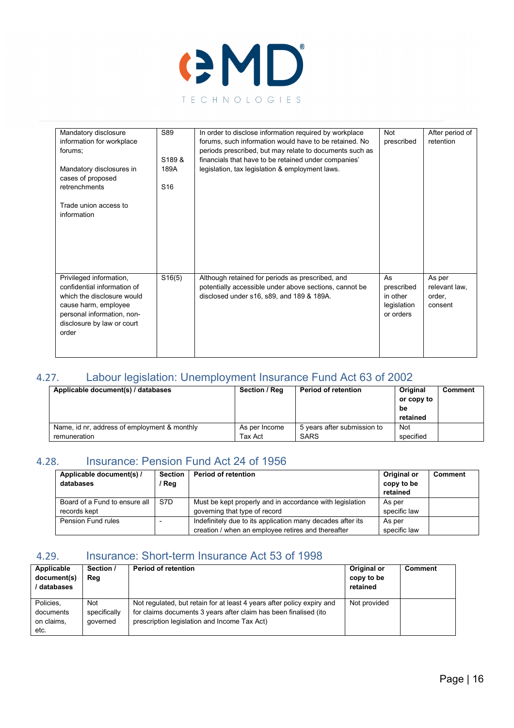

| Mandatory disclosure                                                                                                                                                              | S89                   | In order to disclose information required by workplace                                                                                                  | <b>Not</b>                                               | After period of                              |
|-----------------------------------------------------------------------------------------------------------------------------------------------------------------------------------|-----------------------|---------------------------------------------------------------------------------------------------------------------------------------------------------|----------------------------------------------------------|----------------------------------------------|
| information for workplace                                                                                                                                                         |                       | forums, such information would have to be retained. No                                                                                                  | prescribed                                               | retention                                    |
| forums:                                                                                                                                                                           |                       | periods prescribed, but may relate to documents such as                                                                                                 |                                                          |                                              |
|                                                                                                                                                                                   | S <sub>189&amp;</sub> | financials that have to be retained under companies'                                                                                                    |                                                          |                                              |
| Mandatory disclosures in<br>cases of proposed                                                                                                                                     | 189A                  | legislation, tax legislation & employment laws.                                                                                                         |                                                          |                                              |
| retrenchments                                                                                                                                                                     | S <sub>16</sub>       |                                                                                                                                                         |                                                          |                                              |
| Trade union access to<br>information                                                                                                                                              |                       |                                                                                                                                                         |                                                          |                                              |
|                                                                                                                                                                                   |                       |                                                                                                                                                         |                                                          |                                              |
|                                                                                                                                                                                   |                       |                                                                                                                                                         |                                                          |                                              |
| Privileged information,<br>confidential information of<br>which the disclosure would<br>cause harm, employee<br>personal information, non-<br>disclosure by law or court<br>order | S16(5)                | Although retained for periods as prescribed, and<br>potentially accessible under above sections, cannot be<br>disclosed under s16, s89, and 189 & 189A. | As<br>prescribed<br>in other<br>legislation<br>or orders | As per<br>relevant law,<br>order.<br>consent |

# 4.27. Labour legislation: Unemployment Insurance Fund Act 63 of 2002

<span id="page-15-0"></span>

| Applicable document(s) / databases           | Section / Reg | <b>Period of retention</b>  | Original   | Comment |
|----------------------------------------------|---------------|-----------------------------|------------|---------|
|                                              |               |                             | or copy to |         |
|                                              |               |                             | be         |         |
|                                              |               |                             | retained   |         |
| Name, id nr, address of employment & monthly | As per Income | 5 years after submission to | Not        |         |
| remuneration                                 | Tax Act       | SARS                        | specified  |         |

#### 4.28. Insurance: Pension Fund Act 24 of 1956

<span id="page-15-1"></span>

| Applicable document(s) /<br>databases | <b>Section</b><br>' Reg | <b>Period of retention</b>                                 | Original or<br>copy to be<br>retained | <b>Comment</b> |
|---------------------------------------|-------------------------|------------------------------------------------------------|---------------------------------------|----------------|
| Board of a Fund to ensure all         | S7D                     | Must be kept properly and in accordance with legislation   | As per                                |                |
| records kept                          |                         | governing that type of record                              | specific law                          |                |
| Pension Fund rules                    |                         | Indefinitely due to its application many decades after its | As per                                |                |
|                                       |                         | creation / when an employee retires and thereafter         | specific law                          |                |

## <span id="page-15-2"></span>4.29. Insurance: Short-term Insurance Act 53 of 1998

| Applicable<br>document(s)<br>databases       | Section /<br>Reg                       | <b>Period of retention</b>                                                                                                                                                                 | Original or<br>copy to be<br>retained | <b>Comment</b> |
|----------------------------------------------|----------------------------------------|--------------------------------------------------------------------------------------------------------------------------------------------------------------------------------------------|---------------------------------------|----------------|
| Policies.<br>documents<br>on claims,<br>etc. | <b>Not</b><br>specifically<br>governed | Not regulated, but retain for at least 4 years after policy expiry and<br>for claims documents 3 years after claim has been finalised (ito<br>prescription legislation and Income Tax Act) | Not provided                          |                |